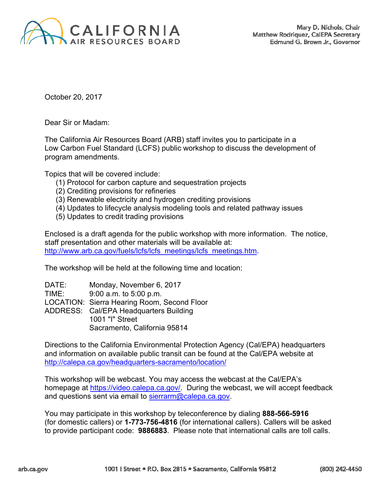

October 20, 2017

Dear Sir or Madam:

The California Air Resources Board (ARB) staff invites you to participate in a Low Carbon Fuel Standard (LCFS) public workshop to discuss the development of program amendments.

Topics that will be covered include:

- (1) Protocol for carbon capture and sequestration projects
- (2) Crediting provisions for refineries
- (3) Renewable electricity and hydrogen crediting provisions
- (4) Updates to lifecycle analysis modeling tools and related pathway issues
- (5) Updates to credit trading provisions

Enclosed is a draft agenda for the public workshop with more information. The notice, staff presentation and other materials will be available at: http://www.arb.ca.gov/fuels/lcfs/lcfs\_meetings/lcfs\_meetings.htm.

The workshop will be held at the following time and location:

DATE: Monday, November 6, 2017 TIME: 9:00 a.m. to 5:00 p.m. LOCATION: Sierra Hearing Room, Second Floor ADDRESS: Cal/EPA Headquarters Building 1001 "I" Street Sacramento, California 95814

Directions to the California Environmental Protection Agency (Cal/EPA) headquarters and information on available public transit can be found at the Cal/EPA website at http://calepa.ca.gov/headquarters-sacramento/location/

This workshop will be webcast. You may access the webcast at the Cal/EPA's homepage at https://video.calepa.ca.gov/. During the webcast, we will accept feedback and questions sent via email to sierrarm@calepa.ca.gov.

You may participate in this workshop by teleconference by dialing **888-566-5916** (for domestic callers) or **1-773-756-4816** (for international callers). Callers will be asked to provide participant code: **9886883**. Please note that international calls are toll calls.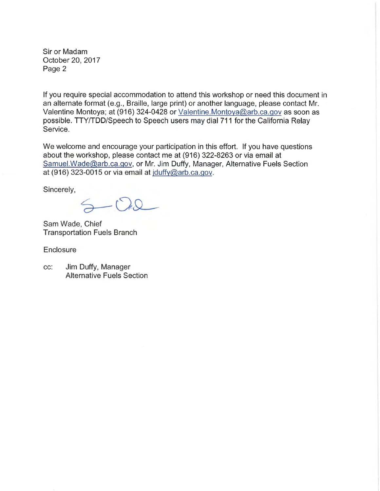Sir or Madam October 20, 2017 Page 2

If you require special accommodation to attend this workshop or need this document in an alternate format (e.g., Braille, large print) or another language, please contact Mr. Valentine Montoya; at (916) 324-0428 or Valentine.Montoya@arb.ca.gov as soon as possible. TTY/TDD/Speech to Speech users may dial 711 for the California Relay Service.

We welcome and encourage your participation in this effort. If you have questions about the workshop, please contact me at (916) 322-8263 or via email at Samuel.Wade@arb.ca.gov, or Mr. Jim Duffy, Manager, Alternative Fuels Section at (916) 323-0015 or via email at jduffy@arb.ca.gov.

Sincerely,

 $5 - 02$ 

Sam Wade, Chief Transportation Fuels Branch

## **Enclosure**

cc: Jim Duffy, Manager Alternative Fuels Section